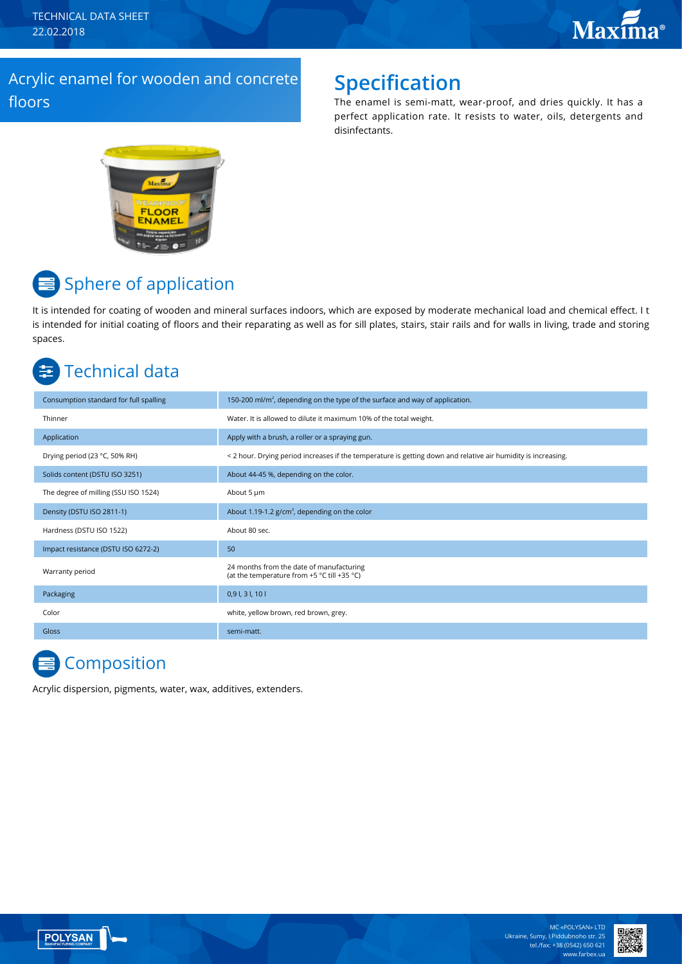TECHNICAL DATA SHEET 22.02.2018

### Acryliс enamel for wooden and concrete floors

## **Specification**

The enamel is semi-matt, wear-proof, and dries quickly. It has a perfect application rate. It resists to water, oils, detergents and disinfectants.



# **■** Sphere of application

It is intended for coating of wooden and mineral surfaces indoors, which are exposed by moderate mechanical load and chemical effect. I t is intended for initial coating of floors and their reparating as well as for sill plates, stairs, stair rails and for walls in living, trade and storing spaces.

# Technical data

| Consumption standard for full spalling | 150-200 ml/m <sup>2</sup> , depending on the type of the surface and way of application.                      |
|----------------------------------------|---------------------------------------------------------------------------------------------------------------|
| Thinner                                | Water. It is allowed to dilute it maximum 10% of the total weight.                                            |
| Application                            | Apply with a brush, a roller or a spraying gun.                                                               |
| Drying period (23 °C, 50% RH)          | < 2 hour. Drying period increases if the temperature is getting down and relative air humidity is increasing. |
| Solids content (DSTU ISO 3251)         | About 44-45 %, depending on the color.                                                                        |
| The degree of milling (SSU ISO 1524)   | About 5 µm                                                                                                    |
| Density (DSTU ISO 2811-1)              | About 1.19-1.2 g/cm <sup>3</sup> , depending on the color                                                     |
| Hardness (DSTU ISO 1522)               | About 80 sec.                                                                                                 |
| Impact resistance (DSTU ISO 6272-2)    | 50                                                                                                            |
| Warranty period                        | 24 months from the date of manufacturing<br>(at the temperature from +5 °C till +35 °C)                       |
| Packaging                              | $0,9$ I, 3 I, 10 I                                                                                            |
| Color                                  | white, yellow brown, red brown, grey.                                                                         |
| Gloss                                  | semi-matt.                                                                                                    |
|                                        |                                                                                                               |

# **Composition**

Acrylic dispersion, pigments, water, wax, additives, extenders.